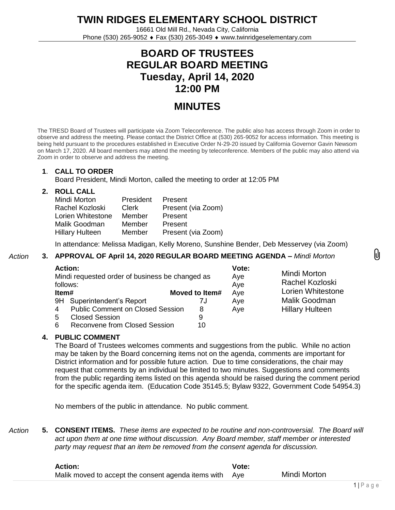**TWIN RIDGES ELEMENTARY SCHOOL DISTRICT**

16661 Old Mill Rd., Nevada City, California Phone (530) 265-9052 Fax (530) 265-3049 www.twinridgeselementary.com

# **BOARD OF TRUSTEES REGULAR BOARD MEETING Tuesday, April 14, 2020 12:00 PM**

# **MINUTES**

The TRESD Board of Trustees will participate via Zoom Teleconference. The public also has access through Zoom in order to observe and address the meeting. Please contact the District Office at (530) 265-9052 for access information. This meeting is being held pursuant to the procedures established in Executive Order N-29-20 issued by California Governor Gavin Newsom on March 17, 2020. All board members may attend the meeting by teleconference. Members of the public may also attend via Zoom in order to observe and address the meeting.

## **1**. **CALL TO ORDER**

Board President, Mindi Morton, called the meeting to order at 12:05 PM

## **2. ROLL CALL**

| Mindi Morton           | President | Present            |
|------------------------|-----------|--------------------|
| Rachel Kozloski        | Clerk     | Present (via Zoom) |
| Lorien Whitestone      | Member    | Present            |
| Malik Goodman          | Member    | Present            |
| <b>Hillary Hulteen</b> | Member    | Present (via Zoom) |

In attendance: Melissa Madigan, Kelly Moreno, Sunshine Bender, Deb Messervey (via Zoom)

#### *Action* **3. APPROVAL OF April 14, 2020 REGULAR BOARD MEETING AGENDA –** *Mindi Morton*

| <b>Action:</b><br>Mindi requested order of business be changed as<br>follows: |                                         |                | Vote:<br>Aye<br>Aye | Mindi Morton<br>Rachel Kozloski |
|-------------------------------------------------------------------------------|-----------------------------------------|----------------|---------------------|---------------------------------|
| Item#                                                                         |                                         | Moved to Item# | Aye                 | Lorien Whitestone               |
| 9H Superintendent's Report                                                    |                                         | 7J             | Aye                 | Malik Goodman                   |
| 4                                                                             | <b>Public Comment on Closed Session</b> | 8              | Aye                 | <b>Hillary Hulteen</b>          |
| <b>Closed Session</b><br>5                                                    |                                         | 9              |                     |                                 |
| <b>Reconvene from Closed Session</b><br>6                                     |                                         | 10             |                     |                                 |

# **4. PUBLIC COMMENT**

The Board of Trustees welcomes comments and suggestions from the public. While no action may be taken by the Board concerning items not on the agenda, comments are important for District information and for possible future action. Due to time considerations, the chair may request that comments by an individual be limited to two minutes. Suggestions and comments from the public regarding items listed on this agenda should be raised during the comment period for the specific agenda item. (Education Code 35145.5; Bylaw 9322, Government Code 54954.3)

No members of the public in attendance. No public comment.

*Action* **5. CONSENT ITEMS.** *These items are expected to be routine and non-controversial. The Board will act upon them at one time without discussion. Any Board member, staff member or interested party may request that an item be removed from the consent agenda for discussion.*

| <b>Action:</b>                                      | <b>Vote:</b> |              |
|-----------------------------------------------------|--------------|--------------|
| Malik moved to accept the consent agenda items with | Ave          | Mindi Morton |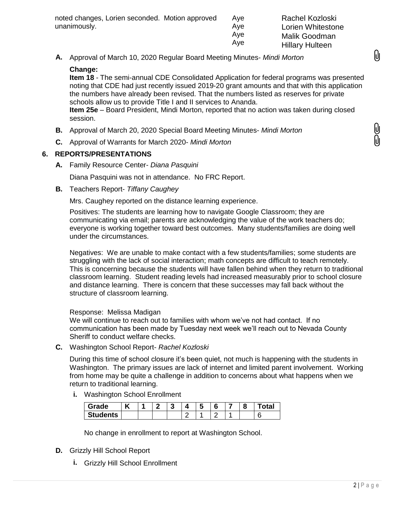| noted changes, Lorien seconded. Motion approved | Ave |
|-------------------------------------------------|-----|
| unanimously.                                    | Ave |
|                                                 | Ave |

Rachel Kozloski Lorien Whitestone Malik Goodman Hillary Hulteen

M

**A.** Approval of March 10, 2020 Regular Board Meeting Minutes- *Mindi Morton*

#### **Change:**

**Item 18** - The semi-annual CDE Consolidated Application for federal programs was presented noting that CDE had just recently issued 2019-20 grant amounts and that with this application the numbers have already been revised. That the numbers listed as reserves for private schools allow us to provide Title I and II services to Ananda.

Aye

**Item 25e** – Board President, Mindi Morton, reported that no action was taken during closed session.

- **B.** Approval of March 20, 2020 Special Board Meeting Minutes- *Mindi Morton*
- **C.** Approval of Warrants for March 2020- *Mindi Morton*

#### **6. REPORTS/PRESENTATIONS**

**A.** Family Resource Center- *Diana Pasquini*

Diana Pasquini was not in attendance. No FRC Report.

**B.** Teachers Report- *Tiffany Caughey*

Mrs. Caughey reported on the distance learning experience.

Positives: The students are learning how to navigate Google Classroom; they are communicating via email; parents are acknowledging the value of the work teachers do; everyone is working together toward best outcomes. Many students/families are doing well under the circumstances.

Negatives: We are unable to make contact with a few students/families; some students are struggling with the lack of social interaction; math concepts are difficult to teach remotely. This is concerning because the students will have fallen behind when they return to traditional classroom learning. Student reading levels had increased measurably prior to school closure and distance learning. There is concern that these successes may fall back without the structure of classroom learning.

Response: Melissa Madigan

We will continue to reach out to families with whom we've not had contact. If no communication has been made by Tuesday next week we'll reach out to Nevada County Sheriff to conduct welfare checks.

**C.** Washington School Report- *Rachel Kozloski*

During this time of school closure it's been quiet, not much is happening with the students in Washington. The primary issues are lack of internet and limited parent involvement. Working from home may be quite a challenge in addition to concerns about what happens when we return to traditional learning.

**i.** Washington School Enrollment

| Grade                        | .,<br>n |  |  |  | o | ำtal |
|------------------------------|---------|--|--|--|---|------|
| <b>Students</b><br><u>т.</u> |         |  |  |  |   |      |

No change in enrollment to report at Washington School.

- **D.** Grizzly Hill School Report
	- **i.** Grizzly Hill School Enrollment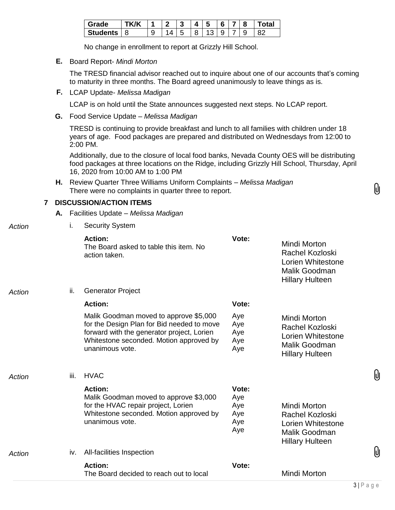| `*ade   | 'K /K |  | -2<br>w | Δ | ÷.     | 6 |        | วtal |
|---------|-------|--|---------|---|--------|---|--------|------|
| tudents | ზ     |  |         |   | $\sim$ | u | u<br>Ŵ | ററ   |

No change in enrollment to report at Grizzly Hill School.

**E.** Board Report- *Mindi Morton*

The TRESD financial advisor reached out to inquire about one of our accounts that's coming to maturity in three months. The Board agreed unanimously to leave things as is.

**F.** LCAP Update- *Melissa Madigan*

LCAP is on hold until the State announces suggested next steps. No LCAP report.

**G.** Food Service Update – *Melissa Madigan*

TRESD is continuing to provide breakfast and lunch to all families with children under 18 years of age. Food packages are prepared and distributed on Wednesdays from 12:00 to 2:00 PM.

Additionally, due to the closure of local food banks, Nevada County OES will be distributing food packages at three locations on the Ridge, including Grizzly Hill School, Thursday, April 16, 2020 from 10:00 AM to 1:00 PM

**H.** Review Quarter Three Williams Uniform Complaints – *Melissa Madigan* There were no complaints in quarter three to report.

## **7 DISCUSSION/ACTION ITEMS**

**A.** Facilities Update – *Melissa Madigan*

# *Action* i. Security System

|        |      | <b>Action:</b><br>The Board asked to table this item. No<br>action taken.                                                                                                                        | Vote:                                    | Mindi Morton<br>Rachel Kozloski<br>Lorien Whitestone<br>Malik Goodman<br><b>Hillary Hulteen</b> |
|--------|------|--------------------------------------------------------------------------------------------------------------------------------------------------------------------------------------------------|------------------------------------------|-------------------------------------------------------------------------------------------------|
| Action | ii.  | <b>Generator Project</b>                                                                                                                                                                         |                                          |                                                                                                 |
|        |      | <b>Action:</b>                                                                                                                                                                                   | Vote:                                    |                                                                                                 |
|        |      | Malik Goodman moved to approve \$5,000<br>for the Design Plan for Bid needed to move<br>forward with the generator project, Lorien<br>Whitestone seconded. Motion approved by<br>unanimous vote. | Aye<br>Aye<br>Aye<br>Aye<br>Aye          | Mindi Morton<br>Rachel Kozloski<br>Lorien Whitestone<br>Malik Goodman<br><b>Hillary Hulteen</b> |
| Action | iii. | <b>HVAC</b>                                                                                                                                                                                      |                                          |                                                                                                 |
|        |      | <b>Action:</b><br>Malik Goodman moved to approve \$3,000<br>for the HVAC repair project, Lorien<br>Whitestone seconded. Motion approved by<br>unanimous vote.                                    | Vote:<br>Aye<br>Aye<br>Aye<br>Aye<br>Aye | Mindi Morton<br>Rachel Kozloski<br>Lorien Whitestone<br>Malik Goodman<br><b>Hillary Hulteen</b> |
| Action | IV.  | All-facilities Inspection                                                                                                                                                                        |                                          |                                                                                                 |
|        |      | <b>Action:</b><br>The Board decided to reach out to local                                                                                                                                        | Vote:                                    | Mindi Morton                                                                                    |
|        |      |                                                                                                                                                                                                  |                                          |                                                                                                 |

IJ

M

M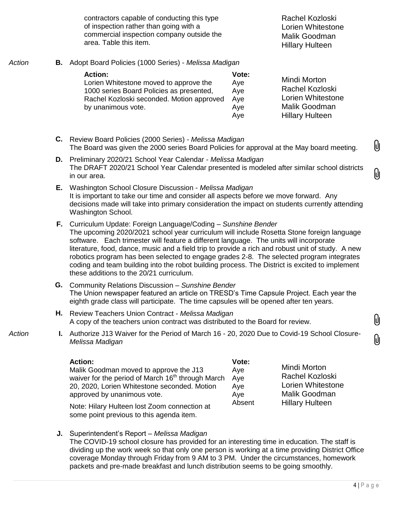contractors capable of conducting this type of inspection rather than going with a commercial inspection company outside the area. Table this item.

Rachel Kozloski Lorien Whitestone Malik Goodman Hillary Hulteen

#### *Action* **B.** Adopt Board Policies (1000 Series) - *Melissa Madigan*

| <b>Action:</b>                            | Vote: |
|-------------------------------------------|-------|
| Lorien Whitestone moved to approve the    | Aye   |
| 1000 series Board Policies as presented,  | Aye   |
| Rachel Kozloski seconded. Motion approved | Ave   |
| by unanimous vote.                        | Aye   |
|                                           | Aye   |

Mindi Morton Rachel Kozloski Lorien Whitestone Malik Goodman Hillary Hulteen

 $\theta$ 

(J

Mindi Morton Rachel Kozloski Lorien Whitestone Malik Goodman Hillary Hulteen

- **C.** Review Board Policies (2000 Series) *Melissa Madigan* The Board was given the 2000 series Board Policies for approval at the May board meeting.
- **D.** Preliminary 2020/21 School Year Calendar *Melissa Madigan* The DRAFT 2020/21 School Year Calendar presented is modeled after similar school districts in our area.
- **E.** Washington School Closure Discussion *Melissa Madigan* It is important to take our time and consider all aspects before we move forward. Any decisions made will take into primary consideration the impact on students currently attending Washington School.
- **F.** Curriculum Update: Foreign Language/Coding *Sunshine Bender* The upcoming 2020/2021 school year curriculum will include Rosetta Stone foreign language software. Each trimester will feature a different language. The units will incorporate literature, food, dance, music and a field trip to provide a rich and robust unit of study. A new robotics program has been selected to engage grades 2-8. The selected program integrates coding and team building into the robot building process. The District is excited to implement these additions to the 20/21 curriculum.
- **G.** Community Relations Discussion *Sunshine Bender* The Union newspaper featured an article on TRESD's Time Capsule Project. Each year the eighth grade class will participate. The time capsules will be opened after ten years.
- **H.** Review Teachers Union Contract *Melissa Madigan* A copy of the teachers union contract was distributed to the Board for review.
- *Action* **I.** Authorize J13 Waiver for the Period of March 16 20, 2020 Due to Covid-19 School Closure-*Melissa Madigan*

| <b>Action:</b>                                                                           | Vote:  |
|------------------------------------------------------------------------------------------|--------|
| Malik Goodman moved to approve the J13                                                   | Aye    |
| waiver for the period of March 16 <sup>th</sup> through March                            | Aye    |
| 20, 2020, Lorien Whitestone seconded. Motion                                             | Aye    |
| approved by unanimous vote.                                                              | Aye    |
| Note: Hilary Hulteen lost Zoom connection at<br>some point previous to this agenda item. | Absent |

**J.** Superintendent's Report – *Melissa Madigan* The COVID-19 school closure has provided for an interesting time in education. The staff is dividing up the work week so that only one person is working at a time providing District Office coverage Monday through Friday from 9 AM to 3 PM. Under the circumstances, homework packets and pre-made breakfast and lunch distribution seems to be going smoothly.